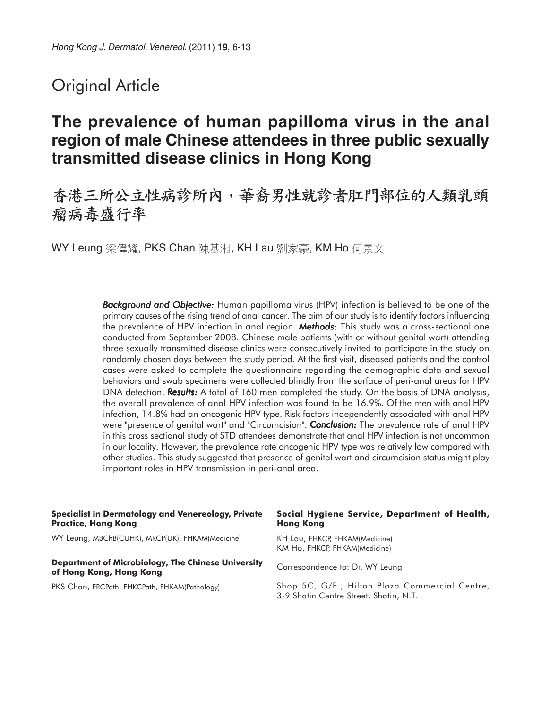# Original Article

# **The prevalence of human papilloma virus in the anal region of male Chinese attendees in three public sexually transmitted disease clinics in Hong Kong**

## 香港三所公立性病診所內,華裔男性就診者肛門部位的人類乳頭 瘤病毒感行率

WY Leung 梁偉耀, PKS Chan 陳基湘, KH Lau 劉家豪, KM Ho 何景文

**Background and Objective:** Human papilloma virus (HPV) infection is believed to be one of the primary causes of the rising trend of anal cancer. The aim of our study is to identify factors influencing the prevalence of HPV infection in anal region. *Methods:* This study was a cross-sectional one conducted from September 2008. Chinese male patients (with or without genital wart) attending three sexually transmitted disease clinics were consecutively invited to participate in the study on randomly chosen days between the study period. At the first visit, diseased patients and the control cases were asked to complete the questionnaire regarding the demographic data and sexual behaviors and swab specimens were collected blindly from the surface of peri-anal areas for HPV DNA detection. **Results:** A total of 160 men completed the study. On the basis of DNA analysis, the overall prevalence of anal HPV infection was found to be 16.9%. Of the men with anal HPV infection, 14.8% had an oncogenic HPV type. Risk factors independently associated with anal HPV were "presence of genital wart" and "Circumcision". *Conclusion:* The prevalence rate of anal HPV in this cross sectional study of STD attendees demonstrate that anal HPV infection is not uncommon in our locality. However, the prevalence rate oncogenic HPV type was relatively low compared with other studies. This study suggested that presence of genital wart and circumcision status might play important roles in HPV transmission in peri-anal area.

| <b>Specialist in Dermatology and Venereology, Private</b><br><b>Practice, Hong Kong</b> | Social Hygiene Service, Department of Health,<br><b>Hong Kong</b>                        |  |  |  |
|-----------------------------------------------------------------------------------------|------------------------------------------------------------------------------------------|--|--|--|
| WY Leung, MBChB(CUHK), MRCP(UK), FHKAM(Medicine)                                        | KH Lau, FHKCP, FHKAM(Medicine)<br>KM Ho, FHKCP, FHKAM(Medicine)                          |  |  |  |
| <b>Department of Microbiology, The Chinese University</b><br>of Hong Kong, Hong Kong    | Correspondence to: Dr. WY Leung                                                          |  |  |  |
| PKS Chan, FRCPath, FHKCPath, FHKAM(Pathology)                                           | Shop 5C, G/F., Hilton Plaza Commercial Centre,<br>3-9 Shatin Centre Street, Shatin, N.T. |  |  |  |
|                                                                                         |                                                                                          |  |  |  |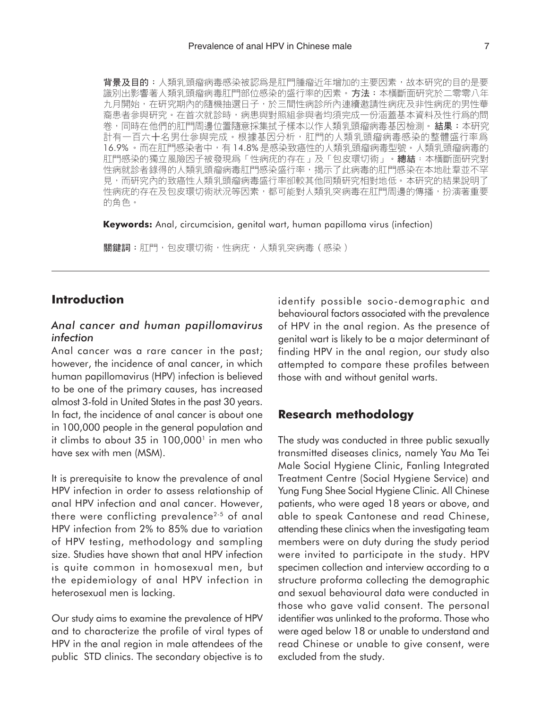**背景及目的**:人類乳頭瘤病毒感染被認爲是肛門腫瘤近年增加的主要因素,故本研究的目的是要 識別出影響著人類乳頭瘤病毒肛門部位感染的盛行率的因素。方法:本橫斷面研究於二零零八年 九月開始,在研究期內的隨機抽選日子,於三間性病診所內連續邀請性病疣及非性病疣的男性華 裔患者參與研究。在首次就診時,病患與對照組參與者均須完成一份涵蓋基本資料及性行爲的問 卷,同時在他們的肛門周邊位置隨意採集拭子樣本以作人類乳頭瘤病毒基因檢測。**結果:**本研究 計有一百六十名男仕參與完成。根據基因分析,肛門的人類乳頭瘤病毒感染的整體盛行率爲 16.9% · 而在肛門感染者中, 有14.8% 是感染致癌性的人類乳頭瘤病毒型號 · 人類乳頭瘤病毒的 肛門感染的獨立風險因子被發現爲「性病疣的存在」及「包皮環切術」。總結:本橫斷面研究對 性病就診者錄得的人類乳頭瘤病毒肛門感染盛行率,揭示了此病毒的肛門感染在本地社羣並不罕 見,而研究內的致癌性人類乳頭瘤病毒盛行率卻較其他同類研究相對地低。本研究的結果說明了 性病疣的存在及包皮環切術狀況等因素,都可能對人類乳突病毒在肛門周邊的傳播,扮演著重要 的角色。

**Keywords:** Anal, circumcision, genital wart, human papilloma virus (infection)

關鍵詞:肛門,包皮環切術,性病疣,人類乳突病毒(感染)

## **Introduction**

## *Anal cancer and human papillomavirus infection*

Anal cancer was a rare cancer in the past; however, the incidence of anal cancer, in which human papillomavirus (HPV) infection is believed to be one of the primary causes, has increased almost 3-fold in United States in the past 30 years. In fact, the incidence of anal cancer is about one in 100,000 people in the general population and it climbs to about  $35$  in  $100,000$ <sup>1</sup> in men who have sex with men (MSM).

It is prerequisite to know the prevalence of anal HPV infection in order to assess relationship of anal HPV infection and anal cancer. However, there were conflicting prevalence<sup>2-5</sup> of anal HPV infection from 2% to 85% due to variation of HPV testing, methodology and sampling size. Studies have shown that anal HPV infection is quite common in homosexual men, but the epidemiology of anal HPV infection in heterosexual men is lacking.

Our study aims to examine the prevalence of HPV and to characterize the profile of viral types of HPV in the anal region in male attendees of the public STD clinics. The secondary objective is to

identify possible socio-demographic and behavioural factors associated with the prevalence of HPV in the anal region. As the presence of genital wart is likely to be a major determinant of finding HPV in the anal region, our study also attempted to compare these profiles between those with and without genital warts.

## **Research methodology**

The study was conducted in three public sexually transmitted diseases clinics, namely Yau Ma Tei Male Social Hygiene Clinic, Fanling Integrated Treatment Centre (Social Hygiene Service) and Yung Fung Shee Social Hygiene Clinic. All Chinese patients, who were aged 18 years or above, and able to speak Cantonese and read Chinese, attending these clinics when the investigating team members were on duty during the study period were invited to participate in the study. HPV specimen collection and interview according to a structure proforma collecting the demographic and sexual behavioural data were conducted in those who gave valid consent. The personal identifier was unlinked to the proforma. Those who were aged below 18 or unable to understand and read Chinese or unable to give consent, were excluded from the study.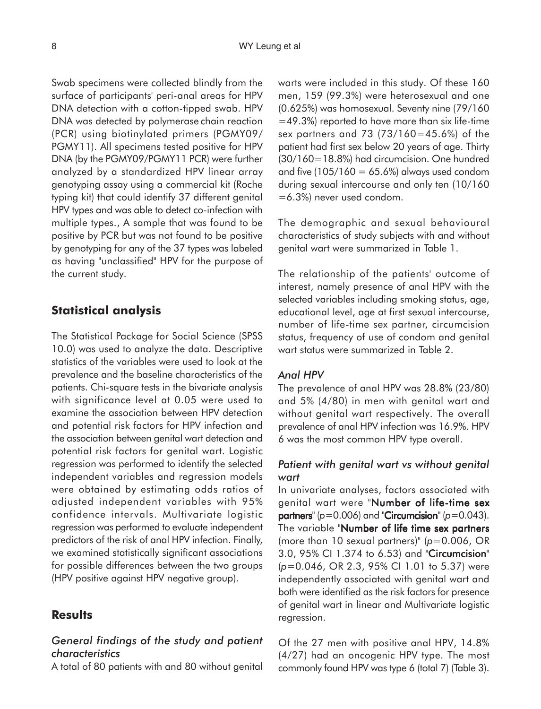Swab specimens were collected blindly from the surface of participants' peri-anal areas for HPV DNA detection with a cotton-tipped swab. HPV DNA was detected by polymerase chain reaction (PCR) using biotinylated primers (PGMY09/ PGMY11). All specimens tested positive for HPV DNA (by the PGMY09/PGMY11 PCR) were further analyzed by a standardized HPV linear array genotyping assay using a commercial kit (Roche typing kit) that could identify 37 different genital HPV types and was able to detect co-infection with multiple types., A sample that was found to be positive by PCR but was not found to be positive by genotyping for any of the 37 types was labeled as having "unclassified" HPV for the purpose of the current study.

## **Statistical analysis**

The Statistical Package for Social Science (SPSS 10.0) was used to analyze the data. Descriptive statistics of the variables were used to look at the prevalence and the baseline characteristics of the patients. Chi-square tests in the bivariate analysis with significance level at 0.05 were used to examine the association between HPV detection and potential risk factors for HPV infection and the association between genital wart detection and potential risk factors for genital wart. Logistic regression was performed to identify the selected independent variables and regression models were obtained by estimating odds ratios of adjusted independent variables with 95% confidence intervals. Multivariate logistic regression was performed to evaluate independent predictors of the risk of anal HPV infection. Finally, we examined statistically significant associations for possible differences between the two groups (HPV positive against HPV negative group).

#### **Results**

## *General findings of the study and patient characteristics*

A total of 80 patients with and 80 without genital

warts were included in this study. Of these 160 men, 159 (99.3%) were heterosexual and one (0.625%) was homosexual. Seventy nine (79/160 =49.3%) reported to have more than six life-time sex partners and 73 (73/160=45.6%) of the patient had first sex below 20 years of age. Thirty (30/160=18.8%) had circumcision. One hundred and five  $(105/160 = 65.6%)$  always used condom during sexual intercourse and only ten (10/160 =6.3%) never used condom.

The demographic and sexual behavioural characteristics of study subjects with and without genital wart were summarized in Table 1.

The relationship of the patients' outcome of interest, namely presence of anal HPV with the selected variables including smoking status, age, educational level, age at first sexual intercourse, number of life-time sex partner, circumcision status, frequency of use of condom and genital wart status were summarized in Table 2.

#### *Anal HPV*

The prevalence of anal HPV was 28.8% (23/80) and 5% (4/80) in men with genital wart and without genital wart respectively. The overall prevalence of anal HPV infection was 16.9%. HPV 6 was the most common HPV type overall.

### *Patient with genital wart vs without genital wart*

In univariate analyses, factors associated with genital wart were "Number of life-time sex partners<sup>"</sup> ( $p=0.006$ ) and "Circumcision" ( $p=0.043$ ). The variable "Number of life time sex partners (more than 10 sexual partners)" (*p*=0.006, OR 3.0, 95% CI 1.374 to 6.53) and "Circumcision" (*p*=0.046, OR 2.3, 95% CI 1.01 to 5.37) were independently associated with genital wart and both were identified as the risk factors for presence of genital wart in linear and Multivariate logistic regression.

Of the 27 men with positive anal HPV, 14.8% (4/27) had an oncogenic HPV type. The most commonly found HPV was type 6 (total 7) (Table 3).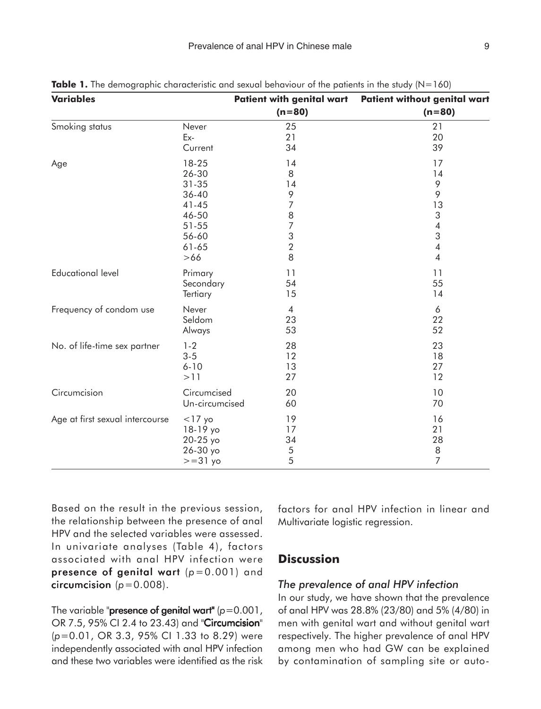| <b>Variables</b>                |                | <b>Patient with genital wart</b> | <b>Patient without genital wart</b> |
|---------------------------------|----------------|----------------------------------|-------------------------------------|
|                                 |                | $(n=80)$                         | $(n=80)$                            |
| Smoking status                  | Never          | 25                               | 21                                  |
|                                 | Ex-            | 21                               | 20                                  |
|                                 | Current        | 34                               | 39                                  |
| Age                             | 18-25          | 14                               | 17                                  |
|                                 | 26-30          | 8                                | 14                                  |
|                                 | $31 - 35$      | 14                               | 9                                   |
|                                 | 36-40          | 9                                | 9                                   |
|                                 | $41 - 45$      | $\overline{7}$                   | 13                                  |
|                                 | 46-50          | $\, 8$                           | $\sqrt{3}$                          |
|                                 | 51-55          | $\overline{7}$                   | $\overline{\mathcal{A}}$            |
|                                 | 56-60          | $\sqrt{3}$                       | 3                                   |
|                                 | $61 - 65$      | $\sqrt{2}$                       | $\overline{\mathcal{A}}$            |
|                                 | $>66$          | 8                                | $\overline{4}$                      |
| <b>Educational level</b>        | Primary        | 11                               | 11                                  |
|                                 | Secondary      | 54                               | 55                                  |
|                                 | Tertiary       | 15                               | 14                                  |
| Frequency of condom use         | Never          | $\overline{4}$                   | 6                                   |
|                                 | Seldom         | 23                               | 22                                  |
|                                 | Always         | 53                               | 52                                  |
| No. of life-time sex partner    | $1 - 2$        | 28                               | 23                                  |
|                                 | $3 - 5$        | 12                               | 18                                  |
|                                 | $6 - 10$       | 13                               | 27                                  |
|                                 | >11            | 27                               | 12                                  |
| Circumcision                    | Circumcised    | 20                               | 10                                  |
|                                 | Un-circumcised | 60                               | 70                                  |
| Age at first sexual intercourse | $<$ 17 yo      | 19                               | 16                                  |
|                                 | 18-19 yo       | 17                               | 21                                  |
|                                 | 20-25 yo       | 34                               | 28                                  |
|                                 | 26-30 yo       | 5                                | $\,8\,$                             |
|                                 | $>=31$ yo      | 5                                | $\overline{7}$                      |

**Table 1.** The demographic characteristic and sexual behaviour of the patients in the study (N=160)

Based on the result in the previous session, the relationship between the presence of anal HPV and the selected variables were assessed. In univariate analyses (Table 4), factors associated with anal HPV infection were presence of genital wart  $(p=0.001)$  and circumcision  $(p=0.008)$ .

The variable "**presence of genital wart"** ( $p=0.001$ , OR 7.5, 95% CI 2.4 to 23.43) and "Circumcision" (*p*=0.01, OR 3.3, 95% CI 1.33 to 8.29) were independently associated with anal HPV infection and these two variables were identified as the risk factors for anal HPV infection in linear and Multivariate logistic regression.

## **Discussion**

#### *The prevalence of anal HPV infection*

In our study, we have shown that the prevalence of anal HPV was 28.8% (23/80) and 5% (4/80) in men with genital wart and without genital wart respectively. The higher prevalence of anal HPV among men who had GW can be explained by contamination of sampling site or auto-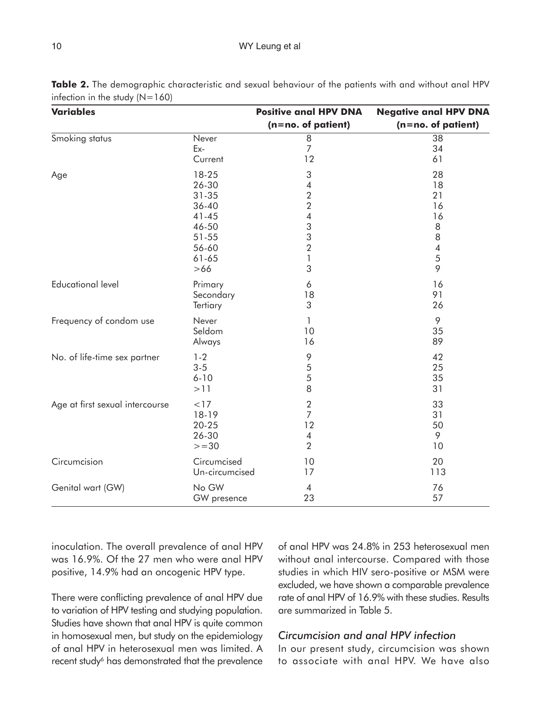#### 10 WY Leung et al.

| <b>Variables</b>                |                | <b>Positive anal HPV DNA</b> | <b>Negative anal HPV DNA</b> |
|---------------------------------|----------------|------------------------------|------------------------------|
|                                 |                | (n=no. of patient)           | $(n=no. of patient)$         |
| Smoking status                  | Never          | 8                            | 38                           |
|                                 | Ex-            | $\overline{7}$               | 34                           |
|                                 | Current        | 12                           | 61                           |
| Age                             | 18-25          | 3                            | 28                           |
|                                 | 26-30          | $\overline{4}$               | 18                           |
|                                 | $31 - 35$      | $\overline{2}$               | 21                           |
|                                 | 36-40          | $\overline{2}$               | 16                           |
|                                 | $41 - 45$      | 4                            | 16                           |
|                                 | 46-50          | 3                            | 8                            |
|                                 | 51-55          | 3                            | 8                            |
|                                 | 56-60          | $\overline{2}$               | 4                            |
|                                 | $61 - 65$      | 1                            | 5                            |
|                                 | $>66$          | 3                            | 9                            |
| <b>Educational level</b>        | Primary        | 6                            | 16                           |
|                                 | Secondary      | 18                           | 91                           |
|                                 | Tertiary       | 3                            | 26                           |
| Frequency of condom use         | Never          | 1                            | 9                            |
|                                 | Seldom         | 10                           | 35                           |
|                                 | Always         | 16                           | 89                           |
| No. of life-time sex partner    | $1 - 2$        | 9                            | 42                           |
|                                 | $3 - 5$        | 5                            | 25                           |
|                                 | $6 - 10$       | 5                            | 35                           |
|                                 | >11            | 8                            | 31                           |
| Age at first sexual intercourse | < 17           | $\sqrt{2}$                   | 33                           |
|                                 | 18-19          | $\overline{7}$               | 31                           |
|                                 | $20 - 25$      | 12                           | 50                           |
|                                 | 26-30          | $\overline{\mathcal{A}}$     | 9                            |
|                                 | $>=30$         | $\overline{2}$               | 10                           |
| Circumcision                    | Circumcised    | 10                           | 20                           |
|                                 | Un-circumcised | 17                           | 113                          |
| Genital wart (GW)               | No GW          | $\overline{4}$               | 76                           |
|                                 | GW presence    | 23                           | 57                           |

**Table 2.** The demographic characteristic and sexual behaviour of the patients with and without anal HPV infection in the study  $(N=160)$ 

inoculation. The overall prevalence of anal HPV was 16.9%. Of the 27 men who were anal HPV positive, 14.9% had an oncogenic HPV type.

There were conflicting prevalence of anal HPV due to variation of HPV testing and studying population. Studies have shown that anal HPV is quite common in homosexual men, but study on the epidemiology of anal HPV in heterosexual men was limited. A recent study<sup>6</sup> has demonstrated that the prevalence

of anal HPV was 24.8% in 253 heterosexual men without anal intercourse. Compared with those studies in which HIV sero-positive or MSM were excluded, we have shown a comparable prevalence rate of anal HPV of 16.9% with these studies. Results are summarized in Table 5.

### *Circumcision and anal HPV infection*

In our present study, circumcision was shown to associate with anal HPV. We have also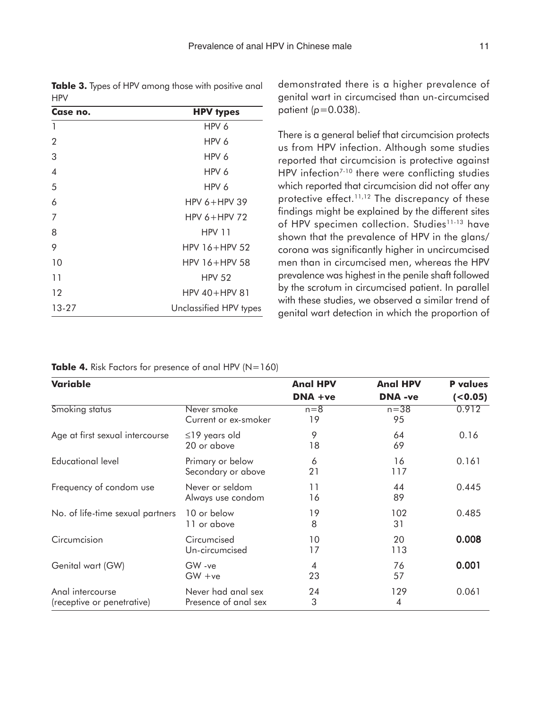**Table 3.** Types of HPV among those with positive anal **HPV** 

| Case no.       | <b>HPV types</b>       |  |  |  |
|----------------|------------------------|--|--|--|
| 1              | HPV 6                  |  |  |  |
| $\overline{2}$ | HPV 6                  |  |  |  |
| 3              | HPV 6                  |  |  |  |
| $\overline{4}$ | HPV 6                  |  |  |  |
| 5              | HPV 6                  |  |  |  |
| 6              | HPV $6+HPV$ 39         |  |  |  |
| 7              | HPV $6+HPV$ 72         |  |  |  |
| 8              | <b>HPV 11</b>          |  |  |  |
| 9              | $HPV 16+HPV 52$        |  |  |  |
| 10             | $HPV$ 16+HPV 58        |  |  |  |
| 11             | HPV <sub>52</sub>      |  |  |  |
| 12             | $HPV 40+HPV 81$        |  |  |  |
| 13-27          | Unclassified HPV types |  |  |  |

demonstrated there is a higher prevalence of genital wart in circumcised than un-circumcised patient (*p*=0.038).

There is a general belief that circumcision protects us from HPV infection. Although some studies reported that circumcision is protective against HPV infection<sup>7-10</sup> there were conflicting studies which reported that circumcision did not offer any protective effect.<sup>11,12</sup> The discrepancy of these findings might be explained by the different sites of HPV specimen collection. Studies<sup>11-13</sup> have shown that the prevalence of HPV in the glans/ corona was significantly higher in uncircumcised men than in circumcised men, whereas the HPV prevalence was highest in the penile shaft followed by the scrotum in circumcised patient. In parallel with these studies, we observed a similar trend of genital wart detection in which the proportion of

**Table 4.** Risk Factors for presence of anal HPV (N=160)

| Variable                                       |                                            | <b>Anal HPV</b>      | <b>Anal HPV</b> | <b>P</b> values |  |
|------------------------------------------------|--------------------------------------------|----------------------|-----------------|-----------------|--|
|                                                | DNA +ve                                    |                      | <b>DNA</b> -ve  | $(0.05)$        |  |
| Smoking status                                 | Never smoke<br>Current or ex-smoker        | $n=8$<br>19          | $n = 38$<br>95  | 0.912           |  |
| Age at first sexual intercourse                | $\leq$ 19 years old<br>20 or above         | 9<br>18              | 64<br>69        | 0.16            |  |
| Educational level                              | Primary or below<br>Secondary or above     | 6<br>21              | 16<br>117       | 0.161           |  |
| Frequency of condom use                        | Never or seldom<br>Always use condom       | 11<br>16             | 44<br>89        | 0.445           |  |
| No. of life-time sexual partners               | 10 or below<br>11 or above                 | 19<br>8              | 102<br>31       | 0.485           |  |
| Circumcision                                   | Circumcised<br>Un-circumcised              | 10<br>17             | 20<br>113       | 0.008           |  |
| Genital wart (GW)                              | GW-ve<br>$GW + ve$                         | $\overline{4}$<br>23 | 76<br>57        | 0.001           |  |
| Anal intercourse<br>(receptive or penetrative) | Never had anal sex<br>Presence of anal sex | 24<br>3              | 129<br>4        | 0.061           |  |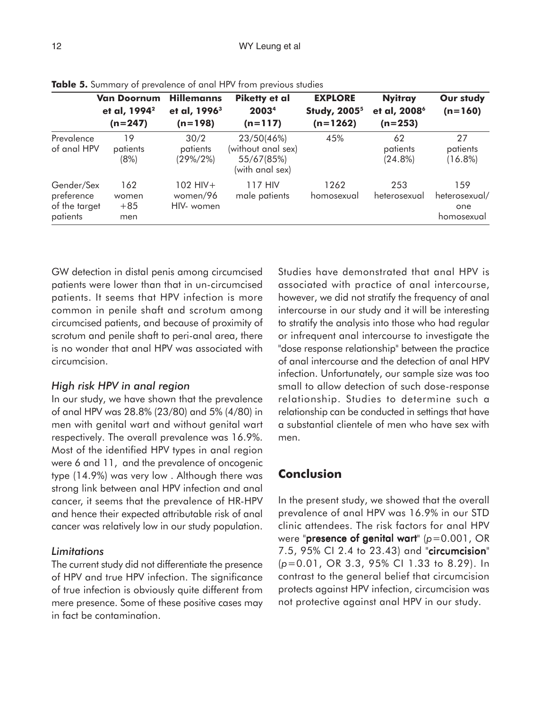|                                                       | <b>Van Doornum</b><br>et al, 1994 <sup>2</sup><br>$(n=247)$ | <b>Hillemanns</b><br>et al, 1996 <sup>3</sup><br>$(n=198)$ | Piketty et al<br>2003 <sup>4</sup><br>$(n=117)$                   | <b>EXPLORE</b><br><b>Study, 2005<sup>5</sup></b><br>$(n=1262)$ | <b>Nyitray</b><br>et al, 2008 <sup>6</sup><br>$(n=253)$ | Our study<br>$(n=160)$                    |
|-------------------------------------------------------|-------------------------------------------------------------|------------------------------------------------------------|-------------------------------------------------------------------|----------------------------------------------------------------|---------------------------------------------------------|-------------------------------------------|
| Prevalence<br>of anal HPV                             | 19<br>patients<br>(8%)                                      | 30/2<br>patients<br>$(29\%/2\%)$                           | 23/50(46%)<br>(without anal sex)<br>55/67(85%)<br>(with anal sex) | 45%                                                            | 62<br>patients<br>$(24.8\%)$                            | 27<br>patients<br>$(16.8\%)$              |
| Gender/Sex<br>preference<br>of the target<br>patients | 162<br>women<br>$+85$<br>men                                | $102$ HIV +<br>women/96<br>HIV- women                      | 117 HIV<br>male patients                                          | 1262<br>homosexual                                             | 253<br>heterosexual                                     | 159<br>heterosexual/<br>one<br>homosexual |

**Table 5.** Summary of prevalence of anal HPV from previous studies

GW detection in distal penis among circumcised patients were lower than that in un-circumcised patients. It seems that HPV infection is more common in penile shaft and scrotum among circumcised patients, and because of proximity of scrotum and penile shaft to peri-anal area, there is no wonder that anal HPV was associated with circumcision.

#### *High risk HPV in anal region*

In our study, we have shown that the prevalence of anal HPV was 28.8% (23/80) and 5% (4/80) in men with genital wart and without genital wart respectively. The overall prevalence was 16.9%. Most of the identified HPV types in anal region were 6 and 11, and the prevalence of oncogenic type (14.9%) was very low . Although there was strong link between anal HPV infection and anal cancer, it seems that the prevalence of HR-HPV and hence their expected attributable risk of anal cancer was relatively low in our study population.

#### *Limitations*

The current study did not differentiate the presence of HPV and true HPV infection. The significance of true infection is obviously quite different from mere presence. Some of these positive cases may in fact be contamination.

Studies have demonstrated that anal HPV is associated with practice of anal intercourse, however, we did not stratify the frequency of anal intercourse in our study and it will be interesting to stratify the analysis into those who had regular or infrequent anal intercourse to investigate the "dose response relationship" between the practice of anal intercourse and the detection of anal HPV infection. Unfortunately, our sample size was too small to allow detection of such dose-response relationship. Studies to determine such a relationship can be conducted in settings that have a substantial clientele of men who have sex with men.

## **Conclusion**

In the present study, we showed that the overall prevalence of anal HPV was 16.9% in our STD clinic attendees. The risk factors for anal HPV were "**presence of genital wart**" ( $p=0.001$ , OR 7.5, 95% CI 2.4 to 23.43) and "circumcision" (*p*=0.01, OR 3.3, 95% CI 1.33 to 8.29). In contrast to the general belief that circumcision protects against HPV infection, circumcision was not protective against anal HPV in our study.